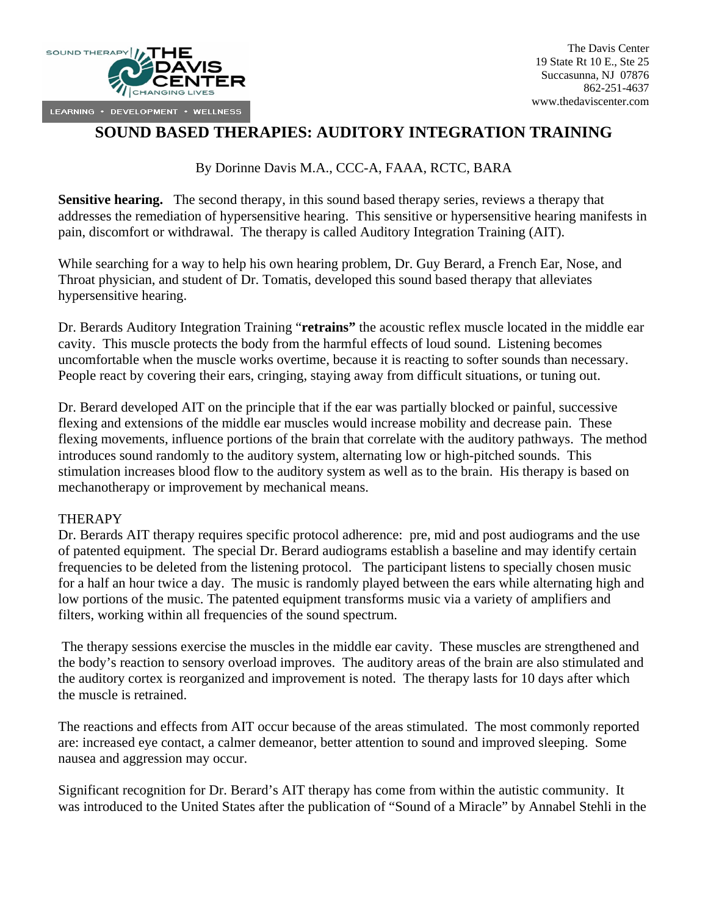

## **SOUND BASED THERAPIES: AUDITORY INTEGRATION TRAINING**

By Dorinne Davis M.A., CCC-A, FAAA, RCTC, BARA

**Sensitive hearing.** The second therapy, in this sound based therapy series, reviews a therapy that addresses the remediation of hypersensitive hearing. This sensitive or hypersensitive hearing manifests in pain, discomfort or withdrawal. The therapy is called Auditory Integration Training (AIT).

While searching for a way to help his own hearing problem, Dr. Guy Berard, a French Ear, Nose, and Throat physician, and student of Dr. Tomatis, developed this sound based therapy that alleviates hypersensitive hearing.

Dr. Berards Auditory Integration Training "**retrains"** the acoustic reflex muscle located in the middle ear cavity. This muscle protects the body from the harmful effects of loud sound. Listening becomes uncomfortable when the muscle works overtime, because it is reacting to softer sounds than necessary. People react by covering their ears, cringing, staying away from difficult situations, or tuning out.

Dr. Berard developed AIT on the principle that if the ear was partially blocked or painful, successive flexing and extensions of the middle ear muscles would increase mobility and decrease pain. These flexing movements, influence portions of the brain that correlate with the auditory pathways. The method introduces sound randomly to the auditory system, alternating low or high-pitched sounds. This stimulation increases blood flow to the auditory system as well as to the brain. His therapy is based on mechanotherapy or improvement by mechanical means.

## **THERAPY**

Dr. Berards AIT therapy requires specific protocol adherence: pre, mid and post audiograms and the use of patented equipment. The special Dr. Berard audiograms establish a baseline and may identify certain frequencies to be deleted from the listening protocol. The participant listens to specially chosen music for a half an hour twice a day. The music is randomly played between the ears while alternating high and low portions of the music. The patented equipment transforms music via a variety of amplifiers and filters, working within all frequencies of the sound spectrum.

 The therapy sessions exercise the muscles in the middle ear cavity. These muscles are strengthened and the body's reaction to sensory overload improves. The auditory areas of the brain are also stimulated and the auditory cortex is reorganized and improvement is noted. The therapy lasts for 10 days after which the muscle is retrained.

The reactions and effects from AIT occur because of the areas stimulated. The most commonly reported are: increased eye contact, a calmer demeanor, better attention to sound and improved sleeping. Some nausea and aggression may occur.

Significant recognition for Dr. Berard's AIT therapy has come from within the autistic community. It was introduced to the United States after the publication of "Sound of a Miracle" by Annabel Stehli in the